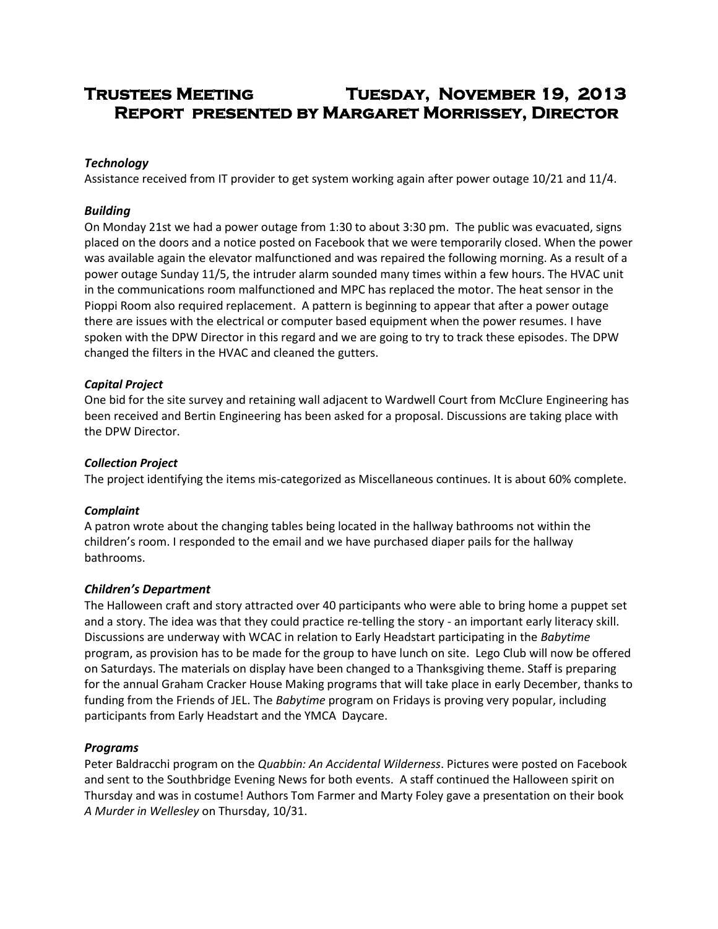# **Trustees Meeting Tuesday, November 19, 2013 Report presented by Margaret Morrissey, Director**

# *Technology*

Assistance received from IT provider to get system working again after power outage 10/21 and 11/4.

# *Building*

On Monday 21st we had a power outage from 1:30 to about 3:30 pm. The public was evacuated, signs placed on the doors and a notice posted on Facebook that we were temporarily closed. When the power was available again the elevator malfunctioned and was repaired the following morning. As a result of a power outage Sunday 11/5, the intruder alarm sounded many times within a few hours. The HVAC unit in the communications room malfunctioned and MPC has replaced the motor. The heat sensor in the Pioppi Room also required replacement. A pattern is beginning to appear that after a power outage there are issues with the electrical or computer based equipment when the power resumes. I have spoken with the DPW Director in this regard and we are going to try to track these episodes. The DPW changed the filters in the HVAC and cleaned the gutters.

## *Capital Project*

One bid for the site survey and retaining wall adjacent to Wardwell Court from McClure Engineering has been received and Bertin Engineering has been asked for a proposal. Discussions are taking place with the DPW Director.

### *Collection Project*

The project identifying the items mis-categorized as Miscellaneous continues. It is about 60% complete.

## *Complaint*

A patron wrote about the changing tables being located in the hallway bathrooms not within the children's room. I responded to the email and we have purchased diaper pails for the hallway bathrooms.

## *Children's Department*

The Halloween craft and story attracted over 40 participants who were able to bring home a puppet set and a story. The idea was that they could practice re-telling the story - an important early literacy skill. Discussions are underway with WCAC in relation to Early Headstart participating in the *Babytime* program, as provision has to be made for the group to have lunch on site. Lego Club will now be offered on Saturdays. The materials on display have been changed to a Thanksgiving theme. Staff is preparing for the annual Graham Cracker House Making programs that will take place in early December, thanks to funding from the Friends of JEL. The *Babytime* program on Fridays is proving very popular, including participants from Early Headstart and the YMCA Daycare.

## *Programs*

Peter Baldracchi program on the *Quabbin: An Accidental Wilderness*. Pictures were posted on Facebook and sent to the Southbridge Evening News for both events. A staff continued the Halloween spirit on Thursday and was in costume! Authors Tom Farmer and Marty Foley gave a presentation on their book *A Murder in Wellesley* on Thursday, 10/31.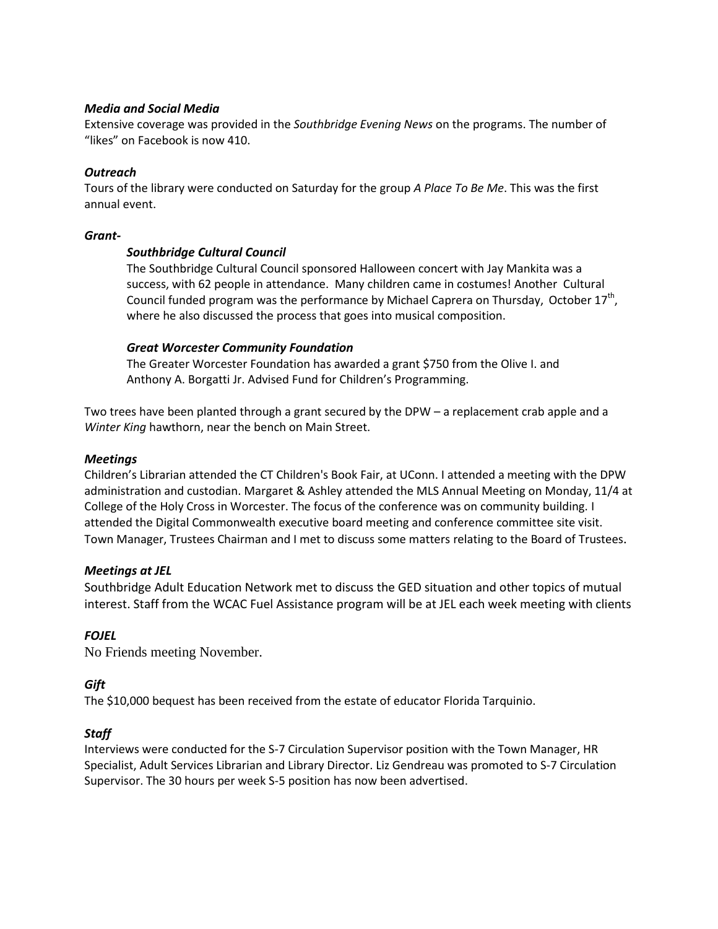### *Media and Social Media*

Extensive coverage was provided in the *Southbridge Evening News* on the programs. The number of "likes" on Facebook is now 410.

## *Outreach*

Tours of the library were conducted on Saturday for the group *A Place To Be Me*. This was the first annual event.

#### *Grant-*

## *Southbridge Cultural Council*

The Southbridge Cultural Council sponsored Halloween concert with Jay Mankita was a success, with 62 people in attendance. Many children came in costumes! Another Cultural Council funded program was the performance by Michael Caprera on Thursday, October  $17^{th}$ , where he also discussed the process that goes into musical composition.

#### *Great Worcester Community Foundation*

The Greater Worcester Foundation has awarded a grant \$750 from the Olive I. and Anthony A. Borgatti Jr. Advised Fund for Children's Programming.

Two trees have been planted through a grant secured by the DPW – a replacement crab apple and a *Winter King* hawthorn, near the bench on Main Street.

#### *Meetings*

Children's Librarian attended the CT Children's Book Fair, at UConn. I attended a meeting with the DPW administration and custodian. Margaret & Ashley attended the MLS Annual Meeting on Monday, 11/4 at College of the Holy Cross in Worcester. The focus of the conference was on community building. I attended the Digital Commonwealth executive board meeting and conference committee site visit. Town Manager, Trustees Chairman and I met to discuss some matters relating to the Board of Trustees.

## *Meetings at JEL*

Southbridge Adult Education Network met to discuss the GED situation and other topics of mutual interest. Staff from the WCAC Fuel Assistance program will be at JEL each week meeting with clients

## *FOJEL*

No Friends meeting November.

## *Gift*

The \$10,000 bequest has been received from the estate of educator Florida Tarquinio.

## *Staff*

Interviews were conducted for the S-7 Circulation Supervisor position with the Town Manager, HR Specialist, Adult Services Librarian and Library Director. Liz Gendreau was promoted to S-7 Circulation Supervisor. The 30 hours per week S-5 position has now been advertised.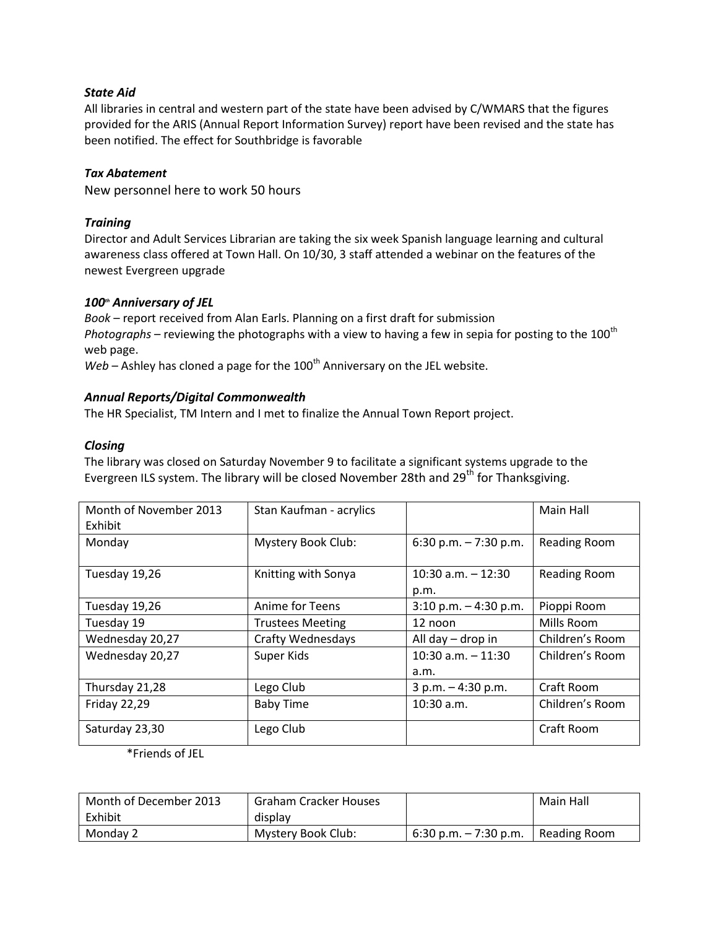# *State Aid*

All libraries in central and western part of the state have been advised by C/WMARS that the figures provided for the ARIS (Annual Report Information Survey) report have been revised and the state has been notified. The effect for Southbridge is favorable

## *Tax Abatement*

New personnel here to work 50 hours

# *Training*

Director and Adult Services Librarian are taking the six week Spanish language learning and cultural awareness class offered at Town Hall. On 10/30, 3 staff attended a webinar on the features of the newest Evergreen upgrade

# *100th Anniversary of JEL*

*Book* – report received from Alan Earls. Planning on a first draft for submission *Photographs* – reviewing the photographs with a view to having a few in sepia for posting to the 100<sup>th</sup> web page.

 $Web -$  Ashley has cloned a page for the  $100<sup>th</sup>$  Anniversary on the JEL website.

## *Annual Reports/Digital Commonwealth*

The HR Specialist, TM Intern and I met to finalize the Annual Town Report project.

# *Closing*

The library was closed on Saturday November 9 to facilitate a significant systems upgrade to the Evergreen ILS system. The library will be closed November 28th and 29<sup>th</sup> for Thanksgiving.

| Month of November 2013<br>Exhibit | Stan Kaufman - acrylics  |                               | Main Hall           |
|-----------------------------------|--------------------------|-------------------------------|---------------------|
| Monday                            | Mystery Book Club:       | 6:30 p.m. $-7:30$ p.m.        | <b>Reading Room</b> |
| Tuesday 19,26                     | Knitting with Sonya      | $10:30$ a.m. $-12:30$<br>p.m. | <b>Reading Room</b> |
| Tuesday 19,26                     | Anime for Teens          | $3:10$ p.m. $-4:30$ p.m.      | Pioppi Room         |
| Tuesday 19                        | <b>Trustees Meeting</b>  | 12 noon                       | Mills Room          |
| Wednesday 20,27                   | <b>Crafty Wednesdays</b> | All day - drop in             | Children's Room     |
| Wednesday 20,27                   | Super Kids               | $10:30$ a.m. $-11:30$<br>a.m. | Children's Room     |
| Thursday 21,28                    | Lego Club                | $3 p.m. - 4:30 p.m.$          | Craft Room          |
| <b>Friday 22,29</b>               | <b>Baby Time</b>         | $10:30$ a.m.                  | Children's Room     |
| Saturday 23,30                    | Lego Club                |                               | Craft Room          |

\*Friends of JEL

| Month of December 2013 | <b>Graham Cracker Houses</b> |                          | Main Hall    |
|------------------------|------------------------------|--------------------------|--------------|
| Exhibit                | display                      |                          |              |
| Monday 2               | Mystery Book Club:           | $6:30$ p.m. $-7:30$ p.m. | Reading Room |